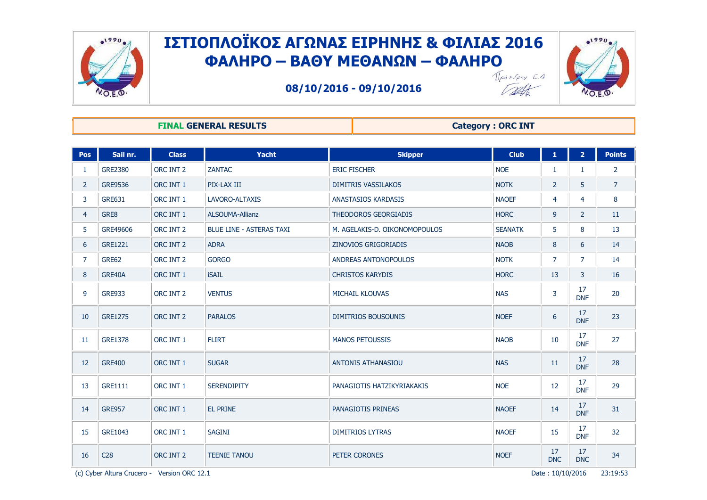

Talt



**08/10/2016 - 09/10/2016**

#### **FINAL GENERAL RESULTS Category : ORC INT**

| Pos            | Sail nr.        | <b>Class</b> | Yacht                           | <b>Skipper</b>                | <b>Club</b>    | $\mathbf{1}$     | $\overline{2}$   | <b>Points</b>   |
|----------------|-----------------|--------------|---------------------------------|-------------------------------|----------------|------------------|------------------|-----------------|
| 1              | <b>GRE2380</b>  | ORC INT 2    | <b>ZANTAC</b>                   | <b>ERIC FISCHER</b>           | <b>NOE</b>     | 1                | 1                | $\overline{2}$  |
| $\overline{2}$ | <b>GRE9536</b>  | ORC INT 1    | PIX-LAX III                     | <b>DIMITRIS VASSILAKOS</b>    | <b>NOTK</b>    | $\overline{2}$   | 5                | $\overline{7}$  |
| 3              | <b>GRE631</b>   | ORC INT 1    | LAVORO-ALTAXIS                  | <b>ANASTASIOS KARDASIS</b>    | <b>NAOEF</b>   | 4                | $\overline{4}$   | 8               |
| $\overline{4}$ | GRE8            | ORC INT 1    | <b>ALSOUMA-Allianz</b>          | THEODOROS GEORGIADIS          | <b>HORC</b>    | 9                | $\overline{2}$   | 11              |
| 5              | GRE49606        | ORC INT 2    | <b>BLUE LINE - ASTERAS TAXI</b> | M. AGELAKIS-D. OIKONOMOPOULOS | <b>SEANATK</b> | 5                | 8                | 13              |
| 6              | <b>GRE1221</b>  | ORC INT 2    | <b>ADRA</b>                     | ZINOVIOS GRIGORIADIS          | <b>NAOB</b>    | 8                | 6                | 14              |
| 7              | <b>GRE62</b>    | ORC INT 2    | <b>GORGO</b>                    | ANDREAS ANTONOPOULOS          | <b>NOTK</b>    | $\overline{7}$   | $\overline{7}$   | 14              |
| 8              | GRE40A          | ORC INT 1    | <b>iSAIL</b>                    | <b>CHRISTOS KARYDIS</b>       | <b>HORC</b>    | 13               | 3                | 16              |
| 9              | <b>GRE933</b>   | ORC INT 2    | <b>VENTUS</b>                   | <b>MICHAIL KLOUVAS</b>        | <b>NAS</b>     | $\overline{3}$   | 17<br><b>DNF</b> | 20              |
| 10             | <b>GRE1275</b>  | ORC INT 2    | <b>PARALOS</b>                  | <b>DIMITRIOS BOUSOUNIS</b>    | <b>NOEF</b>    | 6                | 17<br><b>DNF</b> | 23              |
| 11             | <b>GRE1378</b>  | ORC INT 1    | <b>FLIRT</b>                    | <b>MANOS PETOUSSIS</b>        | <b>NAOB</b>    | 10               | 17<br><b>DNF</b> | 27              |
| 12             | <b>GRE400</b>   | ORC INT 1    | <b>SUGAR</b>                    | ANTONIS ATHANASIOU            | <b>NAS</b>     | 11               | 17<br><b>DNF</b> | 28              |
| 13             | <b>GRE1111</b>  | ORC INT 1    | <b>SERENDIPITY</b>              | PANAGIOTIS HATZIKYRIAKAKIS    | <b>NOE</b>     | 12               | 17<br><b>DNF</b> | 29              |
| 14             | <b>GRE957</b>   | ORC INT 1    | EL PRINE                        | PANAGIOTIS PRINEAS            | <b>NAOEF</b>   | 14               | 17<br><b>DNF</b> | 31              |
| 15             | GRE1043         | ORC INT 1    | <b>SAGINI</b>                   | <b>DIMITRIOS LYTRAS</b>       | <b>NAOEF</b>   | 15               | 17<br><b>DNF</b> | 32 <sup>2</sup> |
| 16             | C <sub>28</sub> | ORC INT 2    | <b>TEENIE TANOU</b>             | PETER CORONES                 | <b>NOEF</b>    | 17<br><b>DNC</b> | 17<br><b>DNC</b> | 34              |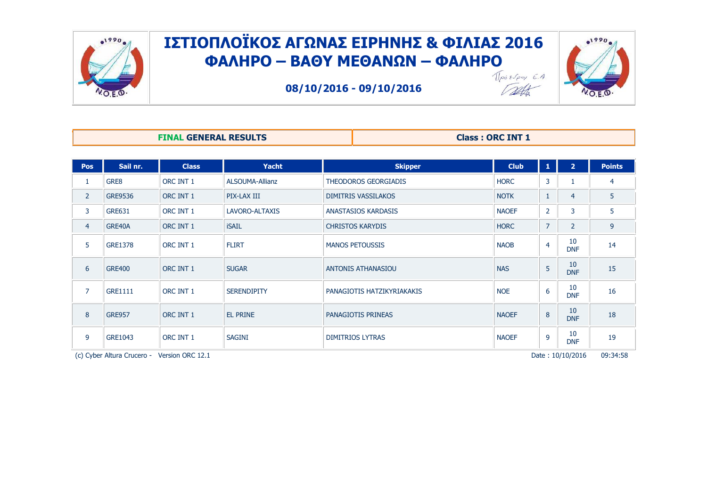



 $-1990$ 

**08/10/2016 - 09/10/2016**

| <b>FINAL GENERAL RESULTS</b> | <b>Class: ORC INT 1</b> |
|------------------------------|-------------------------|

| <b>Pos</b>     | Sail nr.                   | <b>Class</b>     | <b>Yacht</b>          | <b>Skipper</b>              | <b>Club</b>  | 1              | $\overline{2}$   | <b>Points</b> |
|----------------|----------------------------|------------------|-----------------------|-----------------------------|--------------|----------------|------------------|---------------|
|                | GRE8                       | ORC INT 1        | ALSOUMA-Allianz       | <b>THEODOROS GEORGIADIS</b> | <b>HORC</b>  | 3              |                  | 4             |
| $\overline{2}$ | <b>GRE9536</b>             | ORC INT 1        | PIX-LAX III           | <b>DIMITRIS VASSILAKOS</b>  | <b>NOTK</b>  | 1              | $\overline{4}$   | 5             |
| 3              | <b>GRE631</b>              | ORC INT 1        | <b>LAVORO-ALTAXIS</b> | ANASTASIOS KARDASIS         | <b>NAOEF</b> | $\overline{2}$ | 3                | 5             |
| $\overline{4}$ | GRE40A                     | ORC INT 1        | <b>iSAIL</b>          | <b>CHRISTOS KARYDIS</b>     | <b>HORC</b>  | $\overline{7}$ | $\overline{2}$   | 9             |
| 5              | GRE1378                    | ORC INT 1        | <b>FLIRT</b>          | <b>MANOS PETOUSSIS</b>      | <b>NAOB</b>  | 4              | 10<br><b>DNF</b> | 14            |
| 6              | <b>GRE400</b>              | ORC INT 1        | <b>SUGAR</b>          | ANTONIS ATHANASIOU          | <b>NAS</b>   | 5              | 10<br><b>DNF</b> | 15            |
| 7              | <b>GRE1111</b>             | ORC INT 1        | <b>SERENDIPITY</b>    | PANAGIOTIS HATZIKYRIAKAKIS  | <b>NOE</b>   | 6              | 10<br><b>DNF</b> | 16            |
| 8              | <b>GRE957</b>              | ORC INT 1        | <b>EL PRINE</b>       | PANAGIOTIS PRINEAS          | <b>NAOEF</b> | 8              | 10<br><b>DNF</b> | 18            |
| 9              | GRE1043                    | ORC INT 1        | <b>SAGINI</b>         | <b>DIMITRIOS LYTRAS</b>     | <b>NAOEF</b> | 9              | 10<br><b>DNF</b> | 19            |
|                | (c) Cyber Altura Crucero - | Version ORC 12.1 |                       |                             |              |                | Date: 10/10/2016 | 09:34:58      |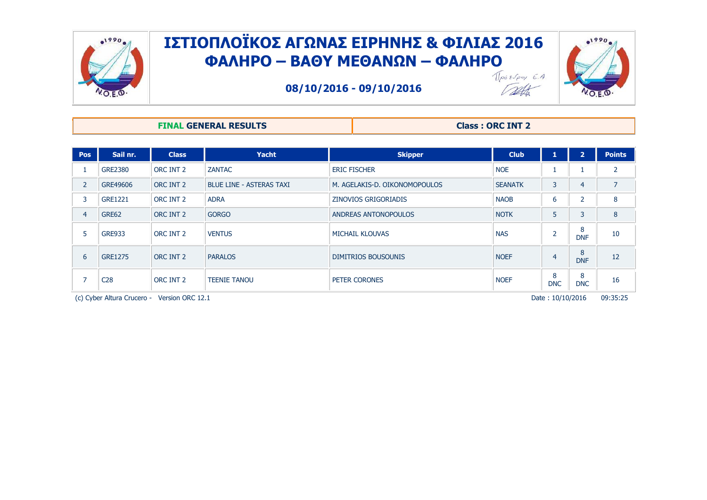



**08/10/2016 - 09/10/2016**

#### **FINAL GENERAL RESULTS Class : ORC INT 2**

Tath

| <b>Pos</b>     | Sail nr.        | <b>Class</b> | <b>Yacht</b>                    | <b>Skipper</b>                | <b>Club</b>    | 1               | $2^{\prime}$    | <b>Points</b> |
|----------------|-----------------|--------------|---------------------------------|-------------------------------|----------------|-----------------|-----------------|---------------|
|                | <b>GRE2380</b>  | ORC INT 2    | ZANTAC                          | <b>ERIC FISCHER</b>           | <b>NOE</b>     |                 |                 |               |
| 2              | GRE49606        | ORC INT 2    | <b>BLUE LINE - ASTERAS TAXI</b> | M. AGELAKIS-D. OIKONOMOPOULOS | <b>SEANATK</b> | 3               | $\overline{4}$  |               |
| 3              | <b>GRE1221</b>  | ORC INT 2    | <b>ADRA</b>                     | ZINOVIOS GRIGORIADIS          | <b>NAOB</b>    | b               | $\overline{2}$  | 8             |
| $\overline{4}$ | GRE62           | ORC INT 2    | <b>GORGO</b>                    | ANDREAS ANTONOPOULOS          | <b>NOTK</b>    | 5               | 3               | 8             |
| 5              | <b>GRE933</b>   | ORC INT 2    | <b>VENTUS</b>                   | MICHAIL KLOUVAS               | <b>NAS</b>     | $\overline{2}$  | 8<br><b>DNF</b> | 10            |
| 6              | <b>GRE1275</b>  | ORC INT 2    | <b>PARALOS</b>                  | DIMITRIOS BOUSOUNIS           | <b>NOEF</b>    | 4               | 8<br><b>DNF</b> | 12            |
|                | C <sub>28</sub> | ORC INT 2    | <b>TEENIE TANOU</b>             | PETER CORONES                 | <b>NOEF</b>    | 8<br><b>DNC</b> | 8<br><b>DNC</b> | 16            |

(c) Cyber Altura Crucero - Version ORC 12.1 **Participal Crucero - Version ORC 12.1** Pate : 10/10/2016 09:35:25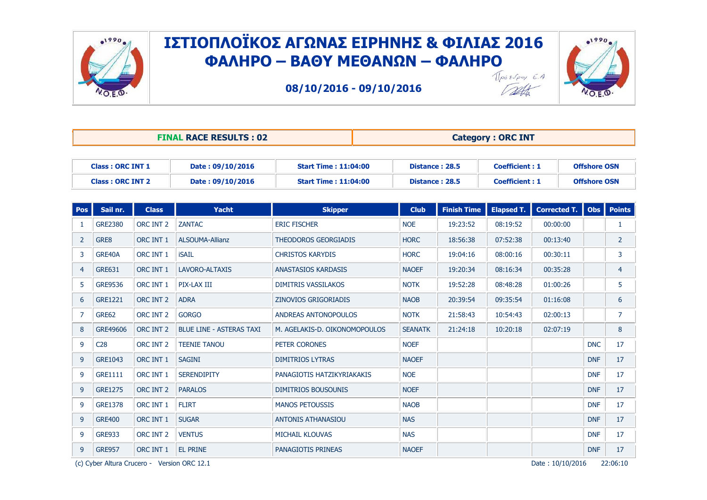

**08/10/2016 - 09/10/2016**



Talk

| <b>FINAL RACE RESULTS: 02</b> |                         |              |                                 | <b>Category: ORC INT</b>      |  |                       |                    |                       |                     |                     |                |
|-------------------------------|-------------------------|--------------|---------------------------------|-------------------------------|--|-----------------------|--------------------|-----------------------|---------------------|---------------------|----------------|
| <b>Class: ORC INT 1</b>       |                         |              | Date: 09/10/2016                | <b>Start Time: 11:04:00</b>   |  | <b>Distance: 28.5</b> |                    | <b>Coefficient: 1</b> |                     | <b>Offshore OSN</b> |                |
|                               | <b>Class: ORC INT 2</b> |              | Date: 09/10/2016                | <b>Start Time: 11:04:00</b>   |  | Distance: 28.5        |                    | <b>Coefficient: 1</b> |                     | <b>Offshore OSN</b> |                |
| Pos                           | Sail nr.                | <b>Class</b> | Yacht                           | <b>Skipper</b>                |  | <b>Club</b>           | <b>Finish Time</b> | <b>Elapsed T.</b>     | <b>Corrected T.</b> | <b>Obs</b>          | <b>Points</b>  |
| 1                             | <b>GRE2380</b>          | ORC INT 2    | <b>ZANTAC</b>                   | <b>ERIC FISCHER</b>           |  | <b>NOE</b>            | 19:23:52           | 08:19:52              | 00:00:00            |                     | 1              |
| $\overline{2}$                | GRE8                    | ORC INT 1    | <b>ALSOUMA-Allianz</b>          | THEODOROS GEORGIADIS          |  | <b>HORC</b>           | 18:56:38           | 07:52:38              | 00:13:40            |                     | $\overline{2}$ |
| 3                             | GRE40A                  | ORC INT 1    | <b>iSAIL</b>                    | <b>CHRISTOS KARYDIS</b>       |  | <b>HORC</b>           | 19:04:16           | 08:00:16              | 00:30:11            |                     | 3              |
| $\overline{4}$                | <b>GRE631</b>           | ORC INT 1    | LAVORO-ALTAXIS                  | <b>ANASTASIOS KARDASIS</b>    |  | <b>NAOEF</b>          | 19:20:34           | 08:16:34              | 00:35:28            |                     | $\overline{4}$ |
| 5                             | <b>GRE9536</b>          | ORC INT 1    | PIX-LAX III                     | <b>DIMITRIS VASSILAKOS</b>    |  | <b>NOTK</b>           | 19:52:28           | 08:48:28              | 01:00:26            |                     | 5              |
| 6                             | <b>GRE1221</b>          | ORC INT 2    | <b>ADRA</b>                     | ZINOVIOS GRIGORIADIS          |  | <b>NAOB</b>           | 20:39:54           | 09:35:54              | 01:16:08            |                     | 6              |
| $\overline{7}$                | <b>GRE62</b>            | ORC INT 2    | <b>GORGO</b>                    | ANDREAS ANTONOPOULOS          |  | <b>NOTK</b>           | 21:58:43           | 10:54:43              | 02:00:13            |                     | $\overline{7}$ |
| 8                             | GRE49606                | ORC INT 2    | <b>BLUE LINE - ASTERAS TAXI</b> | M. AGELAKIS-D. OIKONOMOPOULOS |  | <b>SEANATK</b>        | 21:24:18           | 10:20:18              | 02:07:19            |                     | 8              |
| 9                             | C <sub>28</sub>         | ORC INT 2    | <b>TEENIE TANOU</b>             | PETER CORONES                 |  | <b>NOEF</b>           |                    |                       |                     | <b>DNC</b>          | 17             |
| 9                             | GRE1043                 | ORC INT 1    | <b>SAGINI</b>                   | <b>DIMITRIOS LYTRAS</b>       |  | <b>NAOEF</b>          |                    |                       |                     | <b>DNF</b>          | 17             |
| 9                             | <b>GRE1111</b>          | ORC INT 1    | <b>SERENDIPITY</b>              | PANAGIOTIS HATZIKYRIAKAKIS    |  | <b>NOE</b>            |                    |                       |                     | <b>DNF</b>          | 17             |
| 9                             | <b>GRE1275</b>          | ORC INT 2    | <b>PARALOS</b>                  | <b>DIMITRIOS BOUSOUNIS</b>    |  | <b>NOEF</b>           |                    |                       |                     | <b>DNF</b>          | 17             |
| 9                             | <b>GRE1378</b>          | ORC INT 1    | <b>FLIRT</b>                    | <b>MANOS PETOUSSIS</b>        |  | <b>NAOB</b>           |                    |                       |                     | <b>DNF</b>          | 17             |
| 9                             | <b>GRE400</b>           | ORC INT 1    | <b>SUGAR</b>                    | <b>ANTONIS ATHANASIOU</b>     |  | <b>NAS</b>            |                    |                       |                     | <b>DNF</b>          | 17             |
| 9                             | <b>GRE933</b>           | ORC INT 2    | <b>VENTUS</b>                   | MICHAIL KLOUVAS               |  | <b>NAS</b>            |                    |                       |                     | <b>DNF</b>          | 17             |
| 9                             | <b>GRE957</b>           | ORC INT 1    | <b>EL PRINE</b>                 | PANAGIOTIS PRINEAS            |  | <b>NAOEF</b>          |                    |                       |                     | <b>DNF</b>          | 17             |

(c) Cyber Altura Crucero - Version ORC 12.1 **Participal Crucero - Version ORC 12.1** Pate : 10/10/2016 22:06:10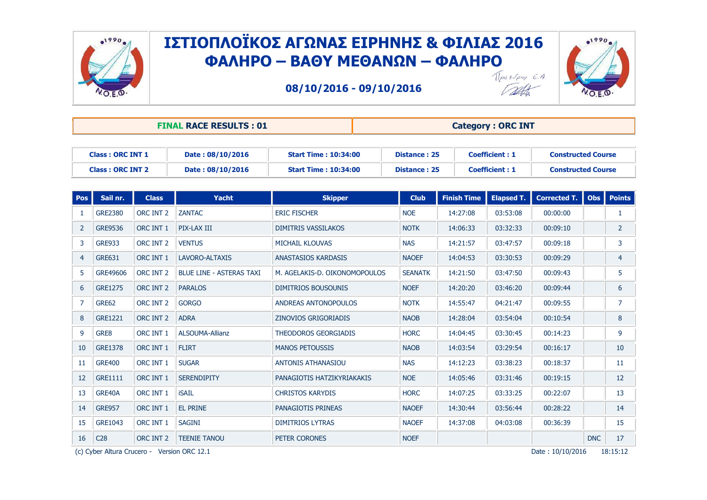

**08/10/2016 - 09/10/2016**



| Dette<br>ï |  |
|------------|--|
|            |  |

|                         |                         |                  | <b>FINAL RACE RESULTS: 01</b>   |                               | <b>Category: ORC INT</b> |                       |                           |                           |            |                |  |
|-------------------------|-------------------------|------------------|---------------------------------|-------------------------------|--------------------------|-----------------------|---------------------------|---------------------------|------------|----------------|--|
| <b>Class: ORC INT 1</b> |                         | Date: 08/10/2016 | <b>Start Time: 10:34:00</b>     | <b>Distance: 25</b>           |                          | <b>Coefficient: 1</b> | <b>Constructed Course</b> |                           |            |                |  |
|                         | <b>Class: ORC INT 2</b> |                  | Date: 08/10/2016                | <b>Start Time: 10:34:00</b>   | <b>Distance: 25</b>      |                       | <b>Coefficient: 1</b>     | <b>Constructed Course</b> |            |                |  |
| <b>Pos</b>              | Sail nr.                | <b>Class</b>     | <b>Yacht</b>                    | <b>Skipper</b>                | <b>Club</b>              | <b>Finish Time</b>    | <b>Elapsed T.</b>         | <b>Corrected T.</b>       |            | Obs   Points   |  |
| 1                       | <b>GRE2380</b>          | ORC INT 2        | <b>ZANTAC</b>                   | <b>ERIC FISCHER</b>           | <b>NOE</b>               | 14:27:08              | 03:53:08                  | 00:00:00                  |            | $\mathbf{1}$   |  |
| $\overline{2}$          | <b>GRE9536</b>          | ORC INT 1        | PIX-LAX III                     | <b>DIMITRIS VASSILAKOS</b>    | <b>NOTK</b>              | 14:06:33              | 03:32:33                  | 00:09:10                  |            | $\overline{2}$ |  |
| 3                       | <b>GRE933</b>           | ORC INT 2        | <b>VENTUS</b>                   | <b>MICHAIL KLOUVAS</b>        | <b>NAS</b>               | 14:21:57              | 03:47:57                  | 00:09:18                  |            | 3              |  |
| $\overline{4}$          | <b>GRE631</b>           | ORC INT 1        | LAVORO-ALTAXIS                  | <b>ANASTASIOS KARDASIS</b>    | <b>NAOEF</b>             | 14:04:53              | 03:30:53                  | 00:09:29                  |            | $\overline{4}$ |  |
| 5                       | GRE49606                | ORC INT 2        | <b>BLUE LINE - ASTERAS TAXI</b> | M. AGELAKIS-D. OIKONOMOPOULOS | <b>SEANATK</b>           | 14:21:50              | 03:47:50                  | 00:09:43                  |            | 5              |  |
| 6                       | <b>GRE1275</b>          | ORC INT 2        | <b>PARALOS</b>                  | <b>DIMITRIOS BOUSOUNIS</b>    | <b>NOEF</b>              | 14:20:20              | 03:46:20                  | 00:09:44                  |            | 6              |  |
| $\overline{7}$          | <b>GRE62</b>            | ORC INT 2        | <b>GORGO</b>                    | ANDREAS ANTONOPOULOS          | <b>NOTK</b>              | 14:55:47              | 04:21:47                  | 00:09:55                  |            | $\overline{7}$ |  |
| 8                       | <b>GRE1221</b>          | ORC INT 2        | <b>ADRA</b>                     | <b>ZINOVIOS GRIGORIADIS</b>   | <b>NAOB</b>              | 14:28:04              | 03:54:04                  | 00:10:54                  |            | 8              |  |
| 9                       | GRE8                    | ORC INT 1        | <b>ALSOUMA-Allianz</b>          | <b>THEODOROS GEORGIADIS</b>   | <b>HORC</b>              | 14:04:45              | 03:30:45                  | 00:14:23                  |            | 9              |  |
| 10                      | <b>GRE1378</b>          | ORC INT 1        | <b>FLIRT</b>                    | <b>MANOS PETOUSSIS</b>        | <b>NAOB</b>              | 14:03:54              | 03:29:54                  | 00:16:17                  |            | 10             |  |
| 11                      | <b>GRE400</b>           | ORC INT 1        | <b>SUGAR</b>                    | <b>ANTONIS ATHANASIOU</b>     | <b>NAS</b>               | 14:12:23              | 03:38:23                  | 00:18:37                  |            | 11             |  |
| 12                      | <b>GRE1111</b>          | ORC INT 1        | <b>SERENDIPITY</b>              | PANAGIOTIS HATZIKYRIAKAKIS    | <b>NOE</b>               | 14:05:46              | 03:31:46                  | 00:19:15                  |            | 12             |  |
| 13                      | GRE40A                  | ORC INT 1        | <b>iSAIL</b>                    | <b>CHRISTOS KARYDIS</b>       | <b>HORC</b>              | 14:07:25              | 03:33:25                  | 00:22:07                  |            | 13             |  |
| 14                      | <b>GRE957</b>           | ORC INT 1        | <b>EL PRINE</b>                 | PANAGIOTIS PRINEAS            | <b>NAOEF</b>             | 14:30:44              | 03:56:44                  | 00:28:22                  |            | 14             |  |
| 15                      | GRE1043                 | ORC INT 1        | <b>SAGINI</b>                   | <b>DIMITRIOS LYTRAS</b>       | <b>NAOEF</b>             | 14:37:08              | 04:03:08                  | 00:36:39                  |            | 15             |  |
| 16                      | C <sub>28</sub>         | ORC INT 2        | <b>TEENIE TANOU</b>             | PETER CORONES                 | <b>NOEF</b>              |                       |                           |                           | <b>DNC</b> | 17             |  |

(c) Cyber Altura Crucero - Version ORC  $12.1$  Date :  $10/10/2016$   $18:15:12$